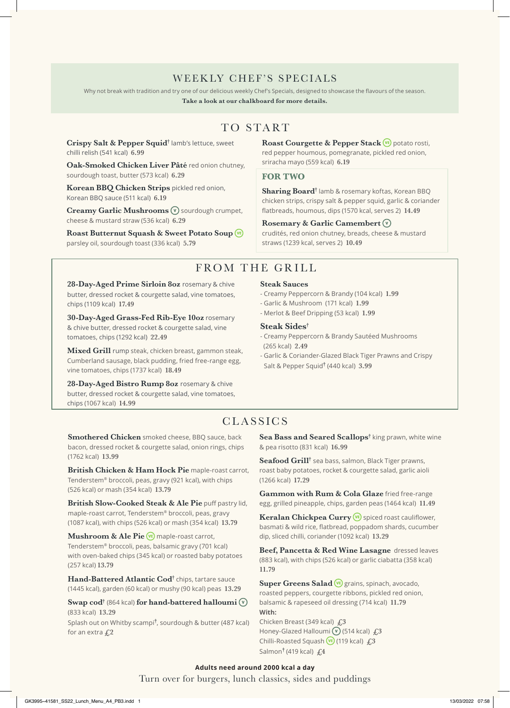### WEEKLY CHEF'S SPECIALS

Why not break with tradition and try one of our delicious weekly Chef's Specials, designed to showcase the flavours of the season.

**Take a look at our chalkboard for more details.**

# TO START

**Crispy Salt & Pepper Squid†** lamb's lettuce, sweet chilli relish (541 kcal) **6.99**

**Oak-Smoked Chicken Liver Pâté** red onion chutney, sourdough toast, butter (573 kcal) **6.29**

**Korean BBQ Chicken Strips** pickled red onion, Korean BBQ sauce (511 kcal) **6.19**

**Creamy Garlic Mushrooms**  $\widehat{\mathbf{v}}$  sourdough crumpet. cheese & mustard straw (536 kcal) **6.29**

**Roast Butternut Squash & Sweet Potato Soup** parsley oil, sourdough toast (336 kcal) **5.79**

Roast Courgette & Pepper Stack<sup>VE</sup> potato rosti, red pepper houmous, pomegranate, pickled red onion, sriracha mayo (559 kcal) **6.19**

### **FOR TWO**

**Sharing Board†** lamb & rosemary koftas, Korean BBQ chicken strips, crispy salt & pepper squid, garlic & coriander flatbreads, houmous, dips (1570 kcal, serves 2) **14.49**

### **Rosemary & Garlic Camembert**

crudités, red onion chutney, breads, cheese & mustard straws (1239 kcal, serves 2) **10.49**

# FROM THE GRILL

28-Day-Aged Prime Sirloin 8oz rosemary & chive butter, dressed rocket & courgette salad, vine tomatoes, chips (1109 kcal) **17.49**

**30-Day-Aged Grass-Fed Rib-Eye 10oz** rosemary & chive butter, dressed rocket & courgette salad, vine tomatoes, chips (1292 kcal) **22.49**

**Mixed Grill** rump steak, chicken breast, gammon steak, Cumberland sausage, black pudding, fried free-range egg, vine tomatoes, chips (1737 kcal) **18.49**

**28-Day-Aged Bistro Rump 8oz** rosemary & chive butter, dressed rocket & courgette salad, vine tomatoes, chips (1067 kcal) **14.99**

### **Steak Sauces**

- Creamy Peppercorn & Brandy (104 kcal) **1.99**
- Garlic & Mushroom (171 kcal) **1.99**
- Merlot & Beef Dripping (53 kcal) **1.99**

### **Steak Sides†**

- Creamy Peppercorn & Brandy Sautéed Mushrooms (265 kcal) **2.49**
- Garlic & Coriander-Glazed Black Tiger Prawns and Crispy Salt & Pepper Squid**†** (440 kcal) **3.99**

# **CLASSICS**

**Smothered Chicken** smoked cheese, BBQ sauce, back bacon, dressed rocket & courgette salad, onion rings, chips (1762 kcal) **13.99**

**British Chicken & Ham Hock Pie** maple-roast carrot, Tenderstem® broccoli, peas, gravy (921 kcal), with chips (526 kcal) or mash (354 kcal) **13.79**

**British Slow-Cooked Steak & Ale Pie** puff pastry lid, maple-roast carrot, Tenderstem® broccoli, peas, gravy (1087 kcal), with chips (526 kcal) or mash (354 kcal) **13.79**

**Mushroom & Ale Pie WE** maple-roast carrot, Tenderstem® broccoli, peas, balsamic gravy (701 kcal) with oven-baked chips (345 kcal) or roasted baby potatoes (257 kcal) **13.79**

 $\bm{\mathrm{Hand\text{-}Battered\text{-}tland}}$   $\bm{\mathrm{Cod^{\dagger}}}$  chips, tartare sauce (1445 kcal), garden (60 kcal) or mushy (90 kcal) peas **13.29**

**Swap cod†** (864 kcal) **for hand-battered halloumi**  (833 kcal) **13.29** Splash out on Whitby scampi**†** , sourdough & butter (487 kcal) for an extra **£2**

 $\mathbf {Sea \, Bass \, and \, Seared \, Scallops^\dagger}$  king prawn, white wine & pea risotto (831 kcal) **16.99**

**Seafood Grill†** sea bass, salmon, Black Tiger prawns, roast baby potatoes, rocket & courgette salad, garlic aioli (1266 kcal) **17.29**

**Gammon with Rum & Cola Glaze** fried free-range egg, grilled pineapple, chips, garden peas (1464 kcal) **11.49**

Keralan Chickpea Curry<sup>(vE)</sup> spiced roast cauliflower, basmati & wild rice, flatbread, poppadom shards, cucumber dip, sliced chilli, coriander (1092 kcal) **13.29**

**Beef, Pancetta & Red Wine Lasagne** dressed leaves (883 kcal), with chips (526 kcal) or garlic ciabatta (358 kcal) **11.79**

Super Greens Salad<sup>(v<sub>E</sub>)</sub> grains, spinach, avocado,</sup> roasted peppers, courgette ribbons, pickled red onion, balsamic & rapeseed oil dressing (714 kcal) **11.79 With:** 

Chicken Breast (349 kcal) **£3** Honey-Glazed Halloumi (v) (514 kcal) £3 Chilli-Roasted Squash (119 kcal) **£3** Salmon**†** (419 kcal) **£4**

### Turn over for burgers, lunch classics, sides and puddings **Adults need around 2000 kcal a day**